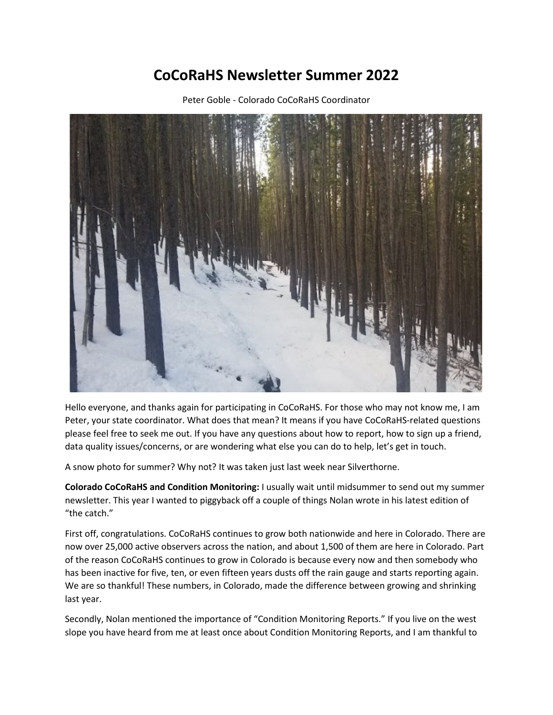## **CoCoRaHS Newsletter Summer 2022**

Peter Goble - Colorado CoCoRaHS Coordinator



Hello everyone, and thanks again for participating in CoCoRaHS. For those who may not know me, I am Peter, your state coordinator. What does that mean? It means if you have CoCoRaHS-related questions please feel free to seek me out. If you have any questions about how to report, how to sign up a friend, data quality issues/concerns, or are wondering what else you can do to help, let's get in touch.

A snow photo for summer? Why not? It was taken just last week near Silverthorne.

**Colorado CoCoRaHS and Condition Monitoring:** I usually wait until midsummer to send out my summer newsletter. This year I wanted to piggyback off a couple of things Nolan wrote in his latest edition of "the catch."

First off, congratulations. CoCoRaHS continues to grow both nationwide and here in Colorado. There are now over 25,000 active observers across the nation, and about 1,500 of them are here in Colorado. Part of the reason CoCoRaHS continues to grow in Colorado is because every now and then somebody who has been inactive for five, ten, or even fifteen years dusts off the rain gauge and starts reporting again. We are so thankful! These numbers, in Colorado, made the difference between growing and shrinking last year.

Secondly, Nolan mentioned the importance of "Condition Monitoring Reports." If you live on the west slope you have heard from me at least once about Condition Monitoring Reports, and I am thankful to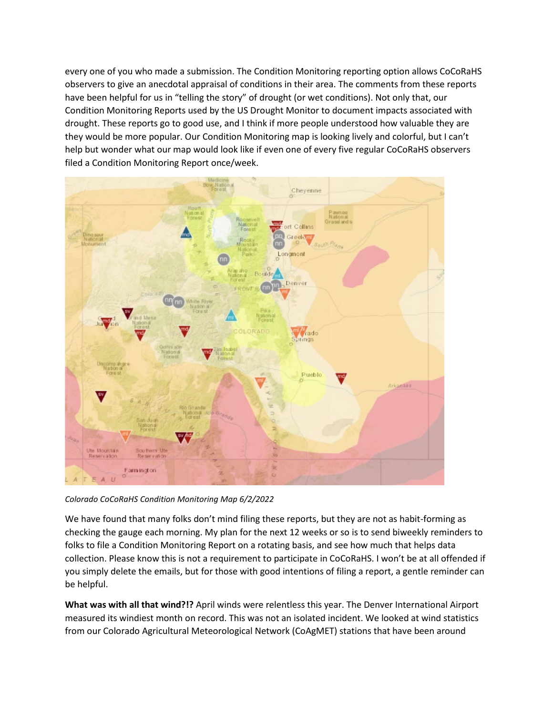every one of you who made a submission. The Condition Monitoring reporting option allows CoCoRaHS observers to give an anecdotal appraisal of conditions in their area. The comments from these reports have been helpful for us in "telling the story" of drought (or wet conditions). Not only that, our Condition Monitoring Reports used by the US Drought Monitor to document impacts associated with drought. These reports go to good use, and I think if more people understood how valuable they are they would be more popular. Our Condition Monitoring map is looking lively and colorful, but I can't help but wonder what our map would look like if even one of every five regular CoCoRaHS observers filed a Condition Monitoring Report once/week.



*Colorado CoCoRaHS Condition Monitoring Map 6/2/2022*

We have found that many folks don't mind filing these reports, but they are not as habit-forming as checking the gauge each morning. My plan for the next 12 weeks or so is to send biweekly reminders to folks to file a Condition Monitoring Report on a rotating basis, and see how much that helps data collection. Please know this is not a requirement to participate in CoCoRaHS. I won't be at all offended if you simply delete the emails, but for those with good intentions of filing a report, a gentle reminder can be helpful.

**What was with all that wind?!?** April winds were relentless this year. The Denver International Airport measured its windiest month on record. This was not an isolated incident. We looked at wind statistics from our Colorado Agricultural Meteorological Network (CoAgMET) stations that have been around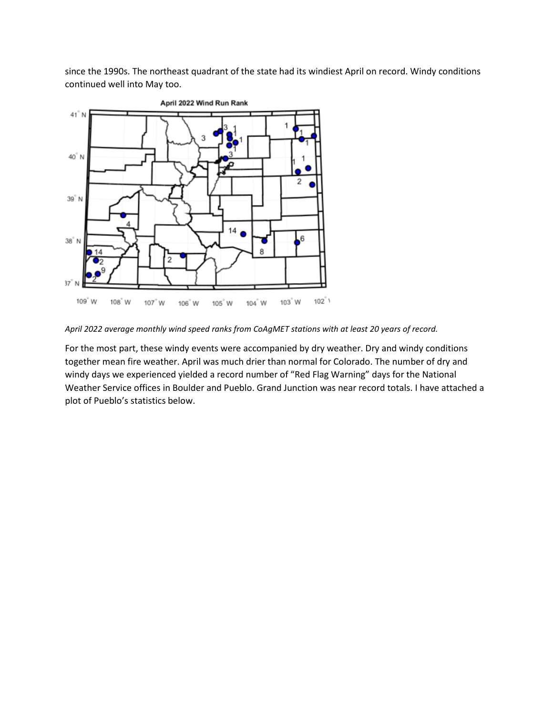since the 1990s. The northeast quadrant of the state had its windiest April on record. Windy conditions continued well into May too.



*April 2022 average monthly wind speed ranks from CoAgMET stations with at least 20 years of record.*

For the most part, these windy events were accompanied by dry weather. Dry and windy conditions together mean fire weather. April was much drier than normal for Colorado. The number of dry and windy days we experienced yielded a record number of "Red Flag Warning" days for the National Weather Service offices in Boulder and Pueblo. Grand Junction was near record totals. I have attached a plot of Pueblo's statistics below.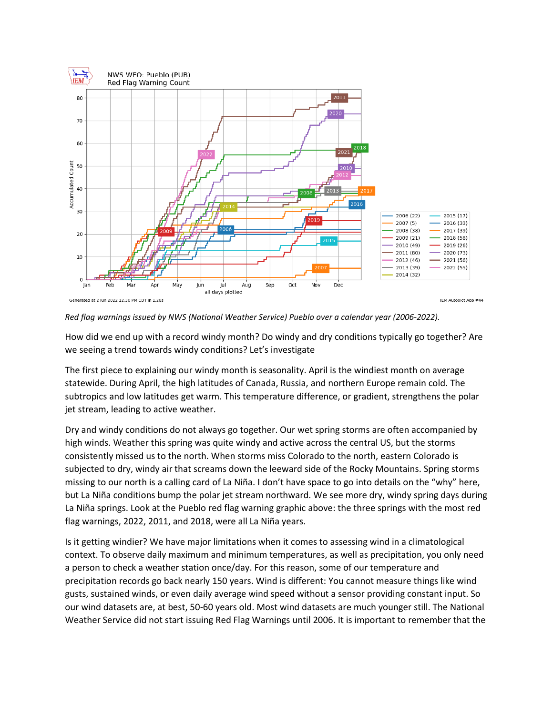

*Red flag warnings issued by NWS (National Weather Service) Pueblo over a calendar year (2006-2022).*

How did we end up with a record windy month? Do windy and dry conditions typically go together? Are we seeing a trend towards windy conditions? Let's investigate

The first piece to explaining our windy month is seasonality. April is the windiest month on average statewide. During April, the high latitudes of Canada, Russia, and northern Europe remain cold. The subtropics and low latitudes get warm. This temperature difference, or gradient, strengthens the polar jet stream, leading to active weather.

Dry and windy conditions do not always go together. Our wet spring storms are often accompanied by high winds. Weather this spring was quite windy and active across the central US, but the storms consistently missed us to the north. When storms miss Colorado to the north, eastern Colorado is subjected to dry, windy air that screams down the leeward side of the Rocky Mountains. Spring storms missing to our north is a calling card of La Niña. I don't have space to go into details on the "why" here, but La Niña conditions bump the polar jet stream northward. We see more dry, windy spring days during La Niña springs. Look at the Pueblo red flag warning graphic above: the three springs with the most red flag warnings, 2022, 2011, and 2018, were all La Niña years.

Is it getting windier? We have major limitations when it comes to assessing wind in a climatological context. To observe daily maximum and minimum temperatures, as well as precipitation, you only need a person to check a weather station once/day. For this reason, some of our temperature and precipitation records go back nearly 150 years. Wind is different: You cannot measure things like wind gusts, sustained winds, or even daily average wind speed without a sensor providing constant input. So our wind datasets are, at best, 50-60 years old. Most wind datasets are much younger still. The National Weather Service did not start issuing Red Flag Warnings until 2006. It is important to remember that the